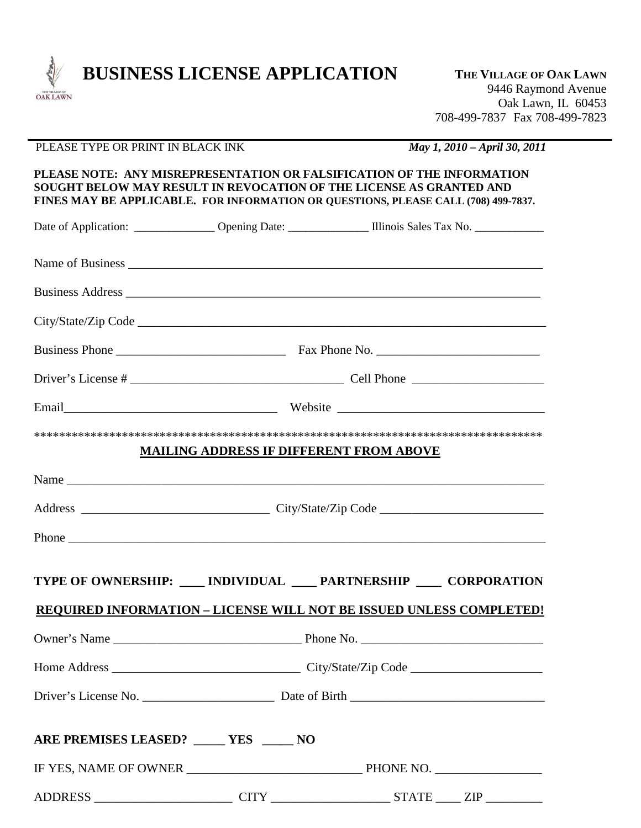

## PLEASE TYPE OR PRINT IN BLACK INK *May 1, 2010 – April 30, 2011*

**PLEASE NOTE: ANY MISREPRESENTATION OR FALSIFICATION OF THE INFORMATION SOUGHT BELOW MAY RESULT IN REVOCATION OF THE LICENSE AS GRANTED AND FINES MAY BE APPLICABLE. FOR INFORMATION OR QUESTIONS, PLEASE CALL (708) 499-7837.**

| Date of Application: _______________ Opening Date: _______________ Illinois Sales Tax No. ______________ |  |                                                |  |  |  |
|----------------------------------------------------------------------------------------------------------|--|------------------------------------------------|--|--|--|
|                                                                                                          |  |                                                |  |  |  |
|                                                                                                          |  |                                                |  |  |  |
|                                                                                                          |  |                                                |  |  |  |
|                                                                                                          |  |                                                |  |  |  |
|                                                                                                          |  |                                                |  |  |  |
|                                                                                                          |  |                                                |  |  |  |
|                                                                                                          |  | <b>MAILING ADDRESS IF DIFFERENT FROM ABOVE</b> |  |  |  |
|                                                                                                          |  |                                                |  |  |  |
|                                                                                                          |  |                                                |  |  |  |
|                                                                                                          |  |                                                |  |  |  |
| TYPE OF OWNERSHIP: ____ INDIVIDUAL ____ PARTNERSHIP ____ CORPORATION                                     |  |                                                |  |  |  |
| <b>REQUIRED INFORMATION - LICENSE WILL NOT BE ISSUED UNLESS COMPLETED!</b>                               |  |                                                |  |  |  |
|                                                                                                          |  |                                                |  |  |  |
|                                                                                                          |  |                                                |  |  |  |
|                                                                                                          |  |                                                |  |  |  |
| ARE PREMISES LEASED? _____ YES _____ NO                                                                  |  |                                                |  |  |  |
|                                                                                                          |  |                                                |  |  |  |
|                                                                                                          |  |                                                |  |  |  |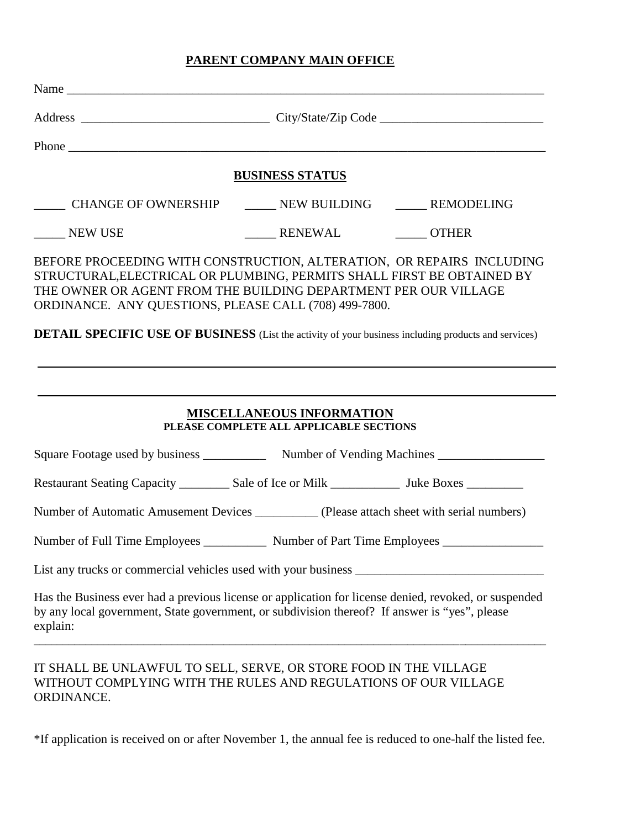## **PARENT COMPANY MAIN OFFICE**

|                               | <b>BUSINESS STATUS</b>                                                                                                                                                                                                                                                     |
|-------------------------------|----------------------------------------------------------------------------------------------------------------------------------------------------------------------------------------------------------------------------------------------------------------------------|
|                               | ______ CHANGE OF OWNERSHIP _______ NEW BUILDING _______ REMODELING                                                                                                                                                                                                         |
| NEW USE                       | _______ RENEWAL _________ OTHER                                                                                                                                                                                                                                            |
|                               | BEFORE PROCEEDING WITH CONSTRUCTION, ALTERATION, OR REPAIRS INCLUDING<br>STRUCTURAL,ELECTRICAL OR PLUMBING, PERMITS SHALL FIRST BE OBTAINED BY<br>THE OWNER OR AGENT FROM THE BUILDING DEPARTMENT PER OUR VILLAGE<br>ORDINANCE. ANY QUESTIONS, PLEASE CALL (708) 499-7800. |
|                               |                                                                                                                                                                                                                                                                            |
|                               | <b>DETAIL SPECIFIC USE OF BUSINESS</b> (List the activity of your business including products and services)                                                                                                                                                                |
|                               |                                                                                                                                                                                                                                                                            |
|                               |                                                                                                                                                                                                                                                                            |
|                               |                                                                                                                                                                                                                                                                            |
|                               |                                                                                                                                                                                                                                                                            |
|                               | <b>MISCELLANEOUS INFORMATION</b><br>PLEASE COMPLETE ALL APPLICABLE SECTIONS                                                                                                                                                                                                |
|                               | Square Footage used by business ______________ Number of Vending Machines __________________________                                                                                                                                                                       |
|                               | Restaurant Seating Capacity ______________ Sale of Ice or Milk __________________ Juke Boxes _____________                                                                                                                                                                 |
|                               | Number of Automatic Amusement Devices __________ (Please attach sheet with serial numbers)                                                                                                                                                                                 |
|                               | Number of Part Time Employees                                                                                                                                                                                                                                              |
| Number of Full Time Employees |                                                                                                                                                                                                                                                                            |

\*If application is received on or after November 1, the annual fee is reduced to one-half the listed fee.

ORDINANCE.